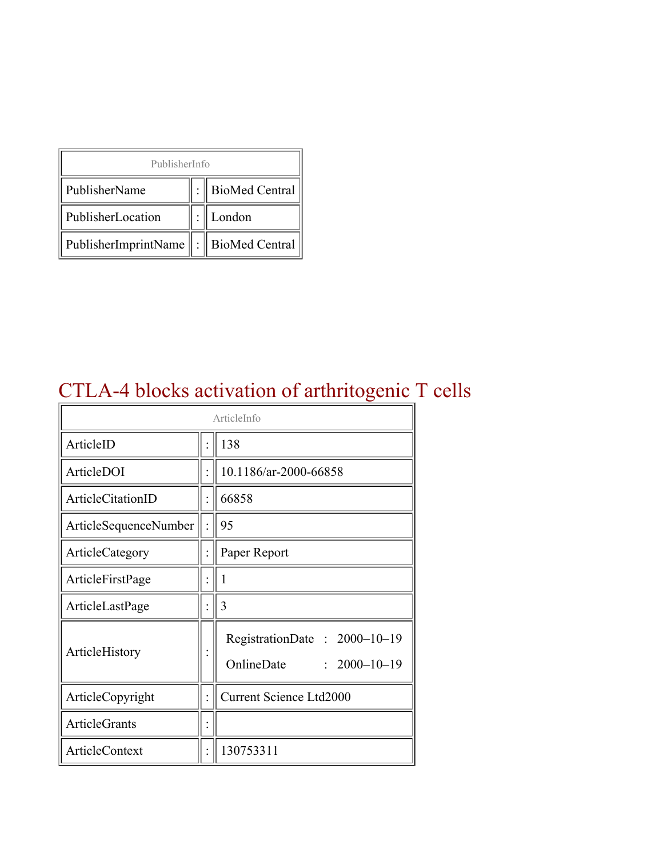| PublisherInfo                              |  |                  |  |  |
|--------------------------------------------|--|------------------|--|--|
| PublisherName                              |  | : BioMed Central |  |  |
| PublisherLocation                          |  | London           |  |  |
| PublisherImprintName   :    BioMed Central |  |                  |  |  |

## CTLA-4 blocks activation of arthritogenic T cells

| ArticleInfo           |  |                                                                  |
|-----------------------|--|------------------------------------------------------------------|
| ArticleID             |  | 138                                                              |
| ArticleDOI            |  | 10.1186/ar-2000-66858                                            |
| ArticleCitationID     |  | 66858                                                            |
| ArticleSequenceNumber |  | 95                                                               |
| ArticleCategory       |  | Paper Report                                                     |
| ArticleFirstPage      |  | 1                                                                |
| ArticleLastPage       |  | 3                                                                |
| ArticleHistory        |  | RegistrationDate: 2000-10-19<br>OnlineDate<br>$: 2000 - 10 - 19$ |
| ArticleCopyright      |  | <b>Current Science Ltd2000</b>                                   |
| <b>ArticleGrants</b>  |  |                                                                  |
| ArticleContext        |  | 130753311                                                        |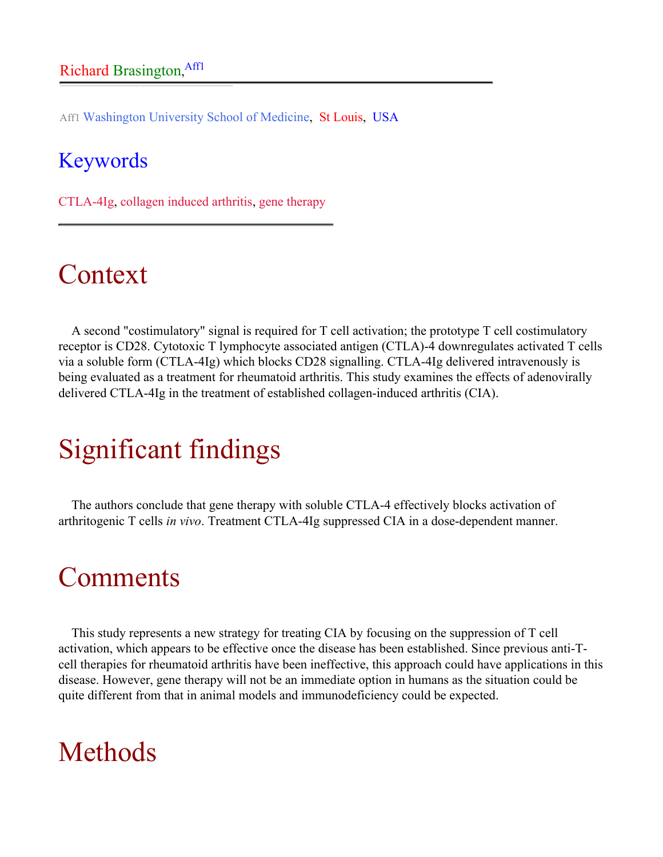Aff1 Washington University School of Medicine, St Louis, USA

#### Keywords

CTLA-4Ig, collagen induced arthritis, gene therapy

## Context

A second "costimulatory" signal is required for T cell activation; the prototype T cell costimulatory receptor is CD28. Cytotoxic T lymphocyte associated antigen (CTLA)-4 downregulates activated T cells via a soluble form (CTLA-4Ig) which blocks CD28 signalling. CTLA-4Ig delivered intravenously is being evaluated as a treatment for rheumatoid arthritis. This study examines the effects of adenovirally delivered CTLA-4Ig in the treatment of established collagen-induced arthritis (CIA).

# Significant findings

The authors conclude that gene therapy with soluble CTLA-4 effectively blocks activation of arthritogenic T cells *in vivo*. Treatment CTLA-4Ig suppressed CIA in a dose-dependent manner.

## **Comments**

This study represents a new strategy for treating CIA by focusing on the suppression of T cell activation, which appears to be effective once the disease has been established. Since previous anti-Tcell therapies for rheumatoid arthritis have been ineffective, this approach could have applications in this disease. However, gene therapy will not be an immediate option in humans as the situation could be quite different from that in animal models and immunodeficiency could be expected.

## Methods